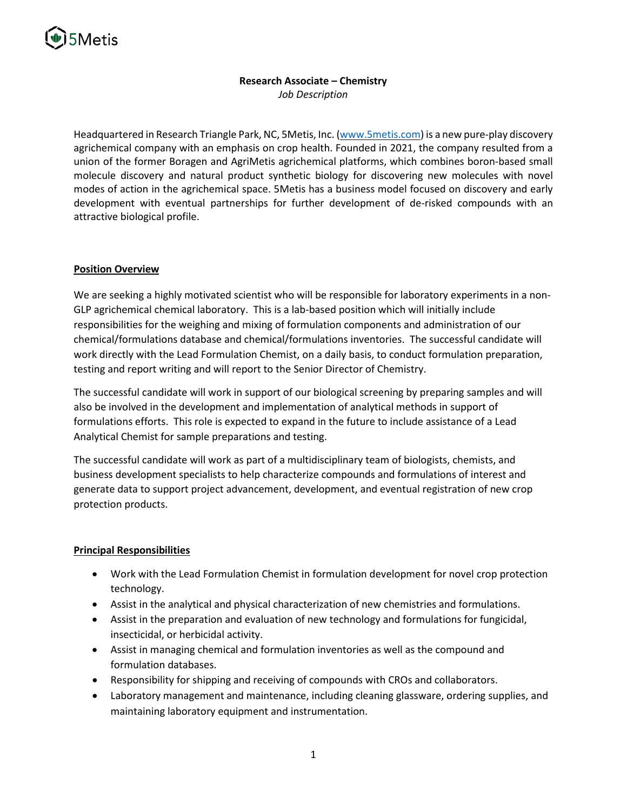

# **Research Associate – Chemistry**

*Job Description*

Headquartered in Research Triangle Park, NC, 5Metis, Inc. [\(www.5metis.com\)](http://www.5metis.com/) is a new pure-play discovery agrichemical company with an emphasis on crop health. Founded in 2021, the company resulted from a union of the former Boragen and AgriMetis agrichemical platforms, which combines boron-based small molecule discovery and natural product synthetic biology for discovering new molecules with novel modes of action in the agrichemical space. 5Metis has a business model focused on discovery and early development with eventual partnerships for further development of de-risked compounds with an attractive biological profile.

## **Position Overview**

We are seeking a highly motivated scientist who will be responsible for laboratory experiments in a non-GLP agrichemical chemical laboratory. This is a lab-based position which will initially include responsibilities for the weighing and mixing of formulation components and administration of our chemical/formulations database and chemical/formulations inventories. The successful candidate will work directly with the Lead Formulation Chemist, on a daily basis, to conduct formulation preparation, testing and report writing and will report to the Senior Director of Chemistry.

The successful candidate will work in support of our biological screening by preparing samples and will also be involved in the development and implementation of analytical methods in support of formulations efforts. This role is expected to expand in the future to include assistance of a Lead Analytical Chemist for sample preparations and testing.

The successful candidate will work as part of a multidisciplinary team of biologists, chemists, and business development specialists to help characterize compounds and formulations of interest and generate data to support project advancement, development, and eventual registration of new crop protection products.

## **Principal Responsibilities**

- Work with the Lead Formulation Chemist in formulation development for novel crop protection technology.
- Assist in the analytical and physical characterization of new chemistries and formulations.
- Assist in the preparation and evaluation of new technology and formulations for fungicidal, insecticidal, or herbicidal activity.
- Assist in managing chemical and formulation inventories as well as the compound and formulation databases.
- Responsibility for shipping and receiving of compounds with CROs and collaborators.
- Laboratory management and maintenance, including cleaning glassware, ordering supplies, and maintaining laboratory equipment and instrumentation.